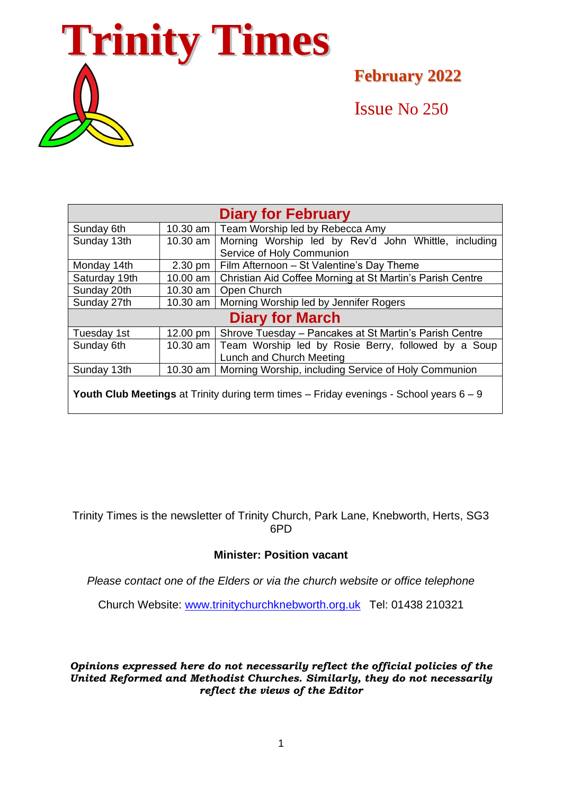

**February 2022**

Issue No 250

| <b>Diary for February</b>                                                                            |            |                                                           |
|------------------------------------------------------------------------------------------------------|------------|-----------------------------------------------------------|
| Sunday 6th                                                                                           | 10.30 am   | Team Worship led by Rebecca Amy                           |
| Sunday 13th                                                                                          | 10.30 am   | Morning Worship led by Rev'd John Whittle, including      |
|                                                                                                      |            | Service of Holy Communion                                 |
| Monday 14th                                                                                          | 2.30 pm    | Film Afternoon - St Valentine's Day Theme                 |
| Saturday 19th                                                                                        | 10.00 am   | Christian Aid Coffee Morning at St Martin's Parish Centre |
| Sunday 20th                                                                                          | 10.30 am   | Open Church                                               |
| Sunday 27th                                                                                          | $10.30$ am | Morning Worship led by Jennifer Rogers                    |
| <b>Diary for March</b>                                                                               |            |                                                           |
| Tuesday 1st                                                                                          | 12.00 pm   | Shrove Tuesday - Pancakes at St Martin's Parish Centre    |
| Sunday 6th                                                                                           | 10.30 am   | Team Worship led by Rosie Berry, followed by a Soup       |
|                                                                                                      |            | Lunch and Church Meeting                                  |
| Sunday 13th                                                                                          | 10.30 am   | Morning Worship, including Service of Holy Communion      |
| <b>Youth Club Meetings</b> at Trinity during term times $-$ Friday evenings $-$ School years $6 - 9$ |            |                                                           |

Trinity Times is the newsletter of Trinity Church, Park Lane, Knebworth, Herts, SG3 6PD

## **Minister: Position vacant**

*Please contact one of the Elders or via the church website or office telephone*

Church Website: [www.trinitychurchknebworth.org.uk](http://www.trinitychurchknebworth.org.uk/) Tel: 01438 210321

*Opinions expressed here do not necessarily reflect the official policies of the United Reformed and Methodist Churches. Similarly, they do not necessarily reflect the views of the Editor*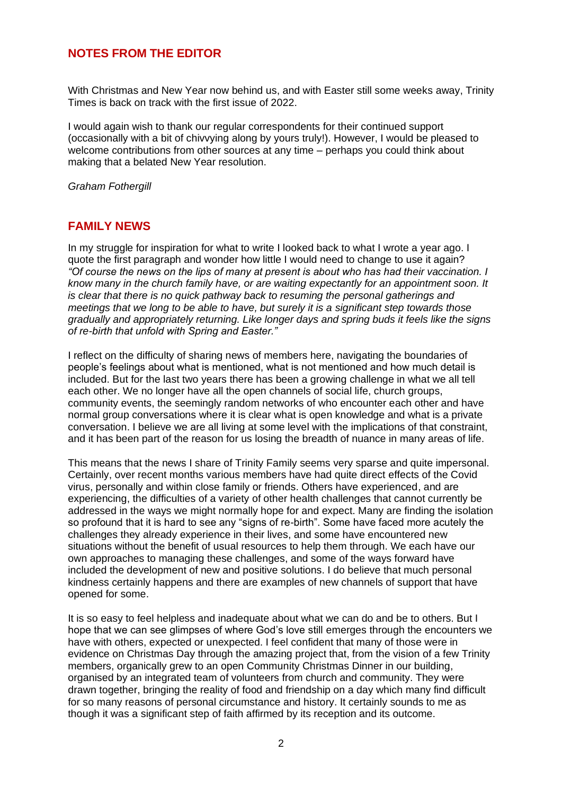## **NOTES FROM THE EDITOR**

With Christmas and New Year now behind us, and with Easter still some weeks away, Trinity Times is back on track with the first issue of 2022.

I would again wish to thank our regular correspondents for their continued support (occasionally with a bit of chivvying along by yours truly!). However, I would be pleased to welcome contributions from other sources at any time – perhaps you could think about making that a belated New Year resolution.

*Graham Fothergill*

#### **FAMILY NEWS**

In my struggle for inspiration for what to write I looked back to what I wrote a year ago. I quote the first paragraph and wonder how little I would need to change to use it again? *"Of course the news on the lips of many at present is about who has had their vaccination. I know many in the church family have, or are waiting expectantly for an appointment soon. It is clear that there is no quick pathway back to resuming the personal gatherings and meetings that we long to be able to have, but surely it is a significant step towards those gradually and appropriately returning. Like longer days and spring buds it feels like the signs of re-birth that unfold with Spring and Easter."*

I reflect on the difficulty of sharing news of members here, navigating the boundaries of people's feelings about what is mentioned, what is not mentioned and how much detail is included. But for the last two years there has been a growing challenge in what we all tell each other. We no longer have all the open channels of social life, church groups, community events, the seemingly random networks of who encounter each other and have normal group conversations where it is clear what is open knowledge and what is a private conversation. I believe we are all living at some level with the implications of that constraint, and it has been part of the reason for us losing the breadth of nuance in many areas of life.

This means that the news I share of Trinity Family seems very sparse and quite impersonal. Certainly, over recent months various members have had quite direct effects of the Covid virus, personally and within close family or friends. Others have experienced, and are experiencing, the difficulties of a variety of other health challenges that cannot currently be addressed in the ways we might normally hope for and expect. Many are finding the isolation so profound that it is hard to see any "signs of re-birth". Some have faced more acutely the challenges they already experience in their lives, and some have encountered new situations without the benefit of usual resources to help them through. We each have our own approaches to managing these challenges, and some of the ways forward have included the development of new and positive solutions. I do believe that much personal kindness certainly happens and there are examples of new channels of support that have opened for some.

It is so easy to feel helpless and inadequate about what we can do and be to others. But I hope that we can see glimpses of where God's love still emerges through the encounters we have with others, expected or unexpected. I feel confident that many of those were in evidence on Christmas Day through the amazing project that, from the vision of a few Trinity members, organically grew to an open Community Christmas Dinner in our building, organised by an integrated team of volunteers from church and community. They were drawn together, bringing the reality of food and friendship on a day which many find difficult for so many reasons of personal circumstance and history. It certainly sounds to me as though it was a significant step of faith affirmed by its reception and its outcome.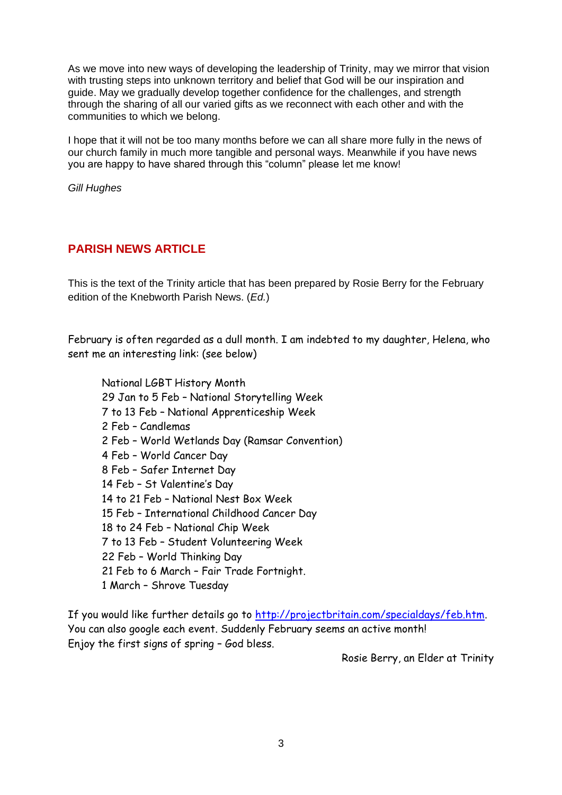As we move into new ways of developing the leadership of Trinity, may we mirror that vision with trusting steps into unknown territory and belief that God will be our inspiration and guide. May we gradually develop together confidence for the challenges, and strength through the sharing of all our varied gifts as we reconnect with each other and with the communities to which we belong.

I hope that it will not be too many months before we can all share more fully in the news of our church family in much more tangible and personal ways. Meanwhile if you have news you are happy to have shared through this "column" please let me know!

*Gill Hughes*

## **PARISH NEWS ARTICLE**

This is the text of the Trinity article that has been prepared by Rosie Berry for the February edition of the Knebworth Parish News. (*Ed.*)

February is often regarded as a dull month. I am indebted to my daughter, Helena, who sent me an interesting link: (see below)

National LGBT History Month 29 Jan to 5 Feb – National Storytelling Week 7 to 13 Feb – National Apprenticeship Week 2 Feb – Candlemas 2 Feb – World Wetlands Day (Ramsar Convention) 4 Feb – World Cancer Day 8 Feb – Safer Internet Day 14 Feb – St Valentine's Day 14 to 21 Feb – National Nest Box Week 15 Feb – International Childhood Cancer Day 18 to 24 Feb – National Chip Week 7 to 13 Feb – Student Volunteering Week 22 Feb – World Thinking Day 21 Feb to 6 March – Fair Trade Fortnight. 1 March – Shrove Tuesday

If you would like further details go to [http://projectbritain.com/specialdays/feb.htm.](http://projectbritain.com/specialdays/feb.htm) You can also google each event. Suddenly February seems an active month! Enjoy the first signs of spring – God bless.

Rosie Berry, an Elder at Trinity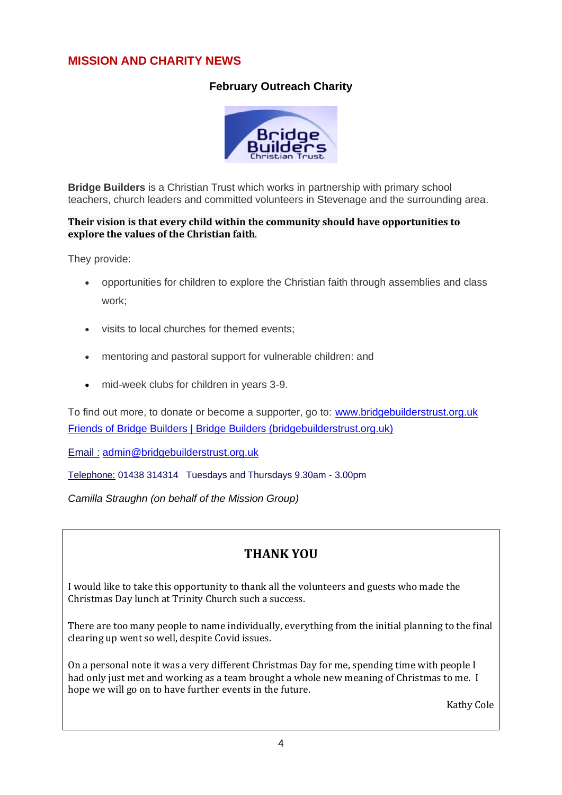## **MISSION AND CHARITY NEWS**

## **February Outreach Charity**



**Bridge Builders** is a Christian Trust which works in partnership with primary school teachers, church leaders and committed volunteers in Stevenage and the surrounding area.

#### **Their vision is that every child within the community should have opportunities to explore the values of the Christian faith**.

They provide:

- opportunities for children to explore the Christian faith through assemblies and class work;
- visits to local churches for themed events;
- mentoring and pastoral support for vulnerable children: and
- mid-week clubs for children in years 3-9.

To find out more, to donate or become a supporter, go to: [www.bridgebuilderstrust.org.uk](http://www.bridgebuilderstrust.org.uk/) [Friends of Bridge Builders | Bridge Builders \(bridgebuilderstrust.org.uk\)](https://www.bridgebuilderstrust.org.uk/friends)

Email : [admin@bridgebuilderstrust.org.uk](mailto:admin@bridgebuilderstrust.org.uk)

Telephone: 01438 314314 Tuesdays and Thursdays 9.30am - 3.00pm

*Camilla Straughn (on behalf of the Mission Group)*

# **THANK YOU**

I would like to take this opportunity to thank all the volunteers and guests who made the Christmas Day lunch at Trinity Church such a success.

There are too many people to name individually, everything from the initial planning to the final clearing up went so well, despite Covid issues.

On a personal note it was a very different Christmas Day for me, spending time with people I had only just met and working as a team brought a whole new meaning of Christmas to me. I hope we will go on to have further events in the future.

Kathy Cole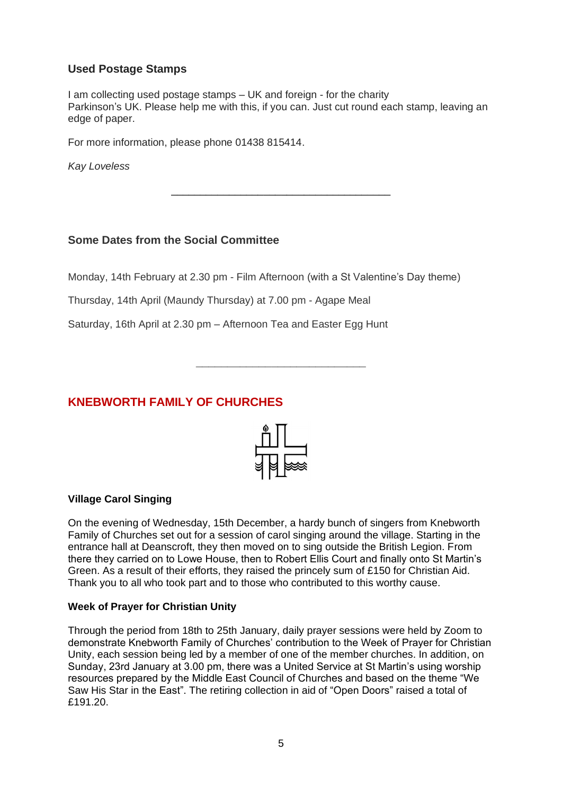### **Used Postage Stamps**

I am collecting used postage stamps – UK and foreign - for the charity Parkinson's UK. Please help me with this, if you can. Just cut round each stamp, leaving an edge of paper.

\_\_\_\_\_\_\_\_\_\_\_\_\_\_\_\_\_\_\_\_\_\_\_\_\_\_\_\_\_\_\_\_\_\_\_\_\_\_

For more information, please phone 01438 815414.

*Kay Loveless*

#### **Some Dates from the Social Committee**

Monday, 14th February at 2.30 pm - Film Afternoon (with a St Valentine's Day theme)

Thursday, 14th April (Maundy Thursday) at 7.00 pm - Agape Meal

Saturday, 16th April at 2.30 pm – Afternoon Tea and Easter Egg Hunt

## **KNEBWORTH FAMILY OF CHURCHES**



**\_\_\_\_\_\_\_\_\_\_\_\_\_\_\_\_\_\_\_\_\_\_\_\_\_\_\_**

#### **Village Carol Singing**

On the evening of Wednesday, 15th December, a hardy bunch of singers from Knebworth Family of Churches set out for a session of carol singing around the village. Starting in the entrance hall at Deanscroft, they then moved on to sing outside the British Legion. From there they carried on to Lowe House, then to Robert Ellis Court and finally onto St Martin's Green. As a result of their efforts, they raised the princely sum of £150 for Christian Aid. Thank you to all who took part and to those who contributed to this worthy cause.

#### **Week of Prayer for Christian Unity**

Through the period from 18th to 25th January, daily prayer sessions were held by Zoom to demonstrate Knebworth Family of Churches' contribution to the Week of Prayer for Christian Unity, each session being led by a member of one of the member churches. In addition, on Sunday, 23rd January at 3.00 pm, there was a United Service at St Martin's using worship resources prepared by the Middle East Council of Churches and based on the theme "We Saw His Star in the East". The retiring collection in aid of "Open Doors" raised a total of £191.20.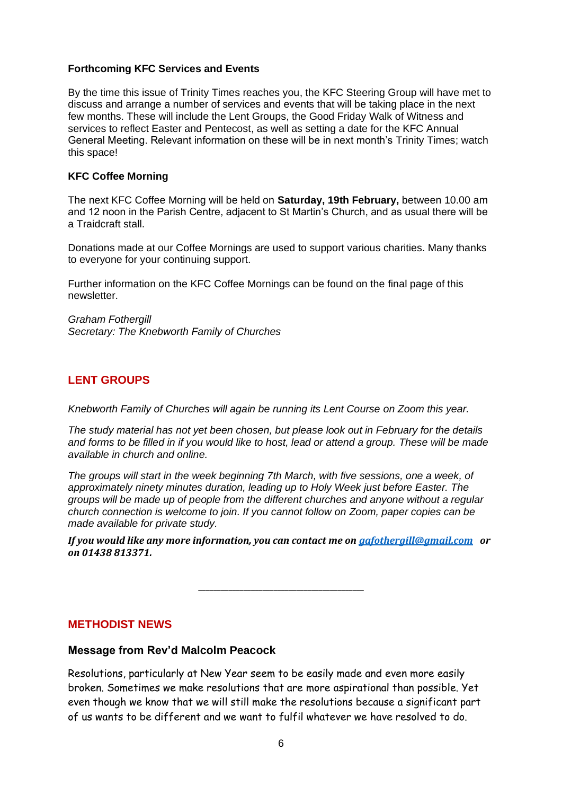#### **Forthcoming KFC Services and Events**

By the time this issue of Trinity Times reaches you, the KFC Steering Group will have met to discuss and arrange a number of services and events that will be taking place in the next few months. These will include the Lent Groups, the Good Friday Walk of Witness and services to reflect Easter and Pentecost, as well as setting a date for the KFC Annual General Meeting. Relevant information on these will be in next month's Trinity Times; watch this space!

#### **KFC Coffee Morning**

The next KFC Coffee Morning will be held on **Saturday, 19th February,** between 10.00 am and 12 noon in the Parish Centre, adjacent to St Martin's Church, and as usual there will be a Traidcraft stall.

Donations made at our Coffee Mornings are used to support various charities. Many thanks to everyone for your continuing support.

Further information on the KFC Coffee Mornings can be found on the final page of this newsletter.

*Graham Fothergill Secretary: The Knebworth Family of Churches*

## **LENT GROUPS**

*Knebworth Family of Churches will again be running its Lent Course on Zoom this year.* 

*The study material has not yet been chosen, but please look out in February for the details and forms to be filled in if you would like to host, lead or attend a group. These will be made available in church and online.* 

*The groups will start in the week beginning 7th March, with five sessions, one a week, of approximately ninety minutes duration, leading up to Holy Week just before Easter. The groups will be made up of people from the different churches and anyone without a regular church connection is welcome to join. If you cannot follow on Zoom, paper copies can be made available for private study.* 

*If you would like any more information, you can contact me on [gafothergill@gmail.com](mailto:gafothergill@gmail.com) or on 01438 813371.*

**\_\_\_\_\_\_\_\_\_\_\_\_\_\_\_\_\_\_\_\_\_\_\_\_\_\_\_\_\_\_\_\_\_\_\_\_\_\_\_\_\_\_\_\_**

#### **METHODIST NEWS**

#### **Message from Rev'd Malcolm Peacock**

Resolutions, particularly at New Year seem to be easily made and even more easily broken. Sometimes we make resolutions that are more aspirational than possible. Yet even though we know that we will still make the resolutions because a significant part of us wants to be different and we want to fulfil whatever we have resolved to do.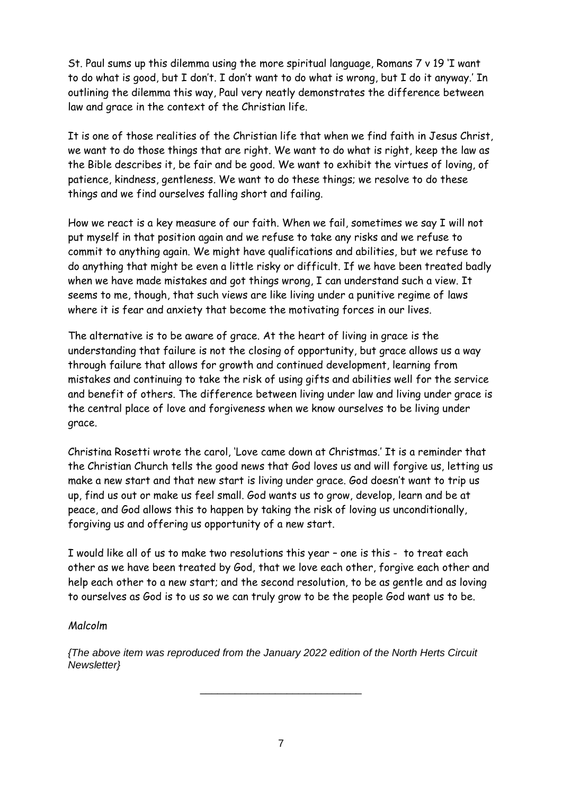St. Paul sums up this dilemma using the more spiritual language, Romans 7 v 19 'I want to do what is good, but I don't. I don't want to do what is wrong, but I do it anyway.' In outlining the dilemma this way, Paul very neatly demonstrates the difference between law and grace in the context of the Christian life.

It is one of those realities of the Christian life that when we find faith in Jesus Christ, we want to do those things that are right. We want to do what is right, keep the law as the Bible describes it, be fair and be good. We want to exhibit the virtues of loving, of patience, kindness, gentleness. We want to do these things; we resolve to do these things and we find ourselves falling short and failing.

How we react is a key measure of our faith. When we fail, sometimes we say I will not put myself in that position again and we refuse to take any risks and we refuse to commit to anything again. We might have qualifications and abilities, but we refuse to do anything that might be even a little risky or difficult. If we have been treated badly when we have made mistakes and got things wrong, I can understand such a view. It seems to me, though, that such views are like living under a punitive regime of laws where it is fear and anxiety that become the motivating forces in our lives.

The alternative is to be aware of grace. At the heart of living in grace is the understanding that failure is not the closing of opportunity, but grace allows us a way through failure that allows for growth and continued development, learning from mistakes and continuing to take the risk of using gifts and abilities well for the service and benefit of others. The difference between living under law and living under grace is the central place of love and forgiveness when we know ourselves to be living under grace.

Christina Rosetti wrote the carol, 'Love came down at Christmas.' It is a reminder that the Christian Church tells the good news that God loves us and will forgive us, letting us make a new start and that new start is living under grace. God doesn't want to trip us up, find us out or make us feel small. God wants us to grow, develop, learn and be at peace, and God allows this to happen by taking the risk of loving us unconditionally, forgiving us and offering us opportunity of a new start.

I would like all of us to make two resolutions this year – one is this - to treat each other as we have been treated by God, that we love each other, forgive each other and help each other to a new start; and the second resolution, to be as gentle and as loving to ourselves as God is to us so we can truly grow to be the people God want us to be.

#### *Malcolm*

*{The above item was reproduced from the January 2022 edition of the North Herts Circuit Newsletter}*

\_\_\_\_\_\_\_\_\_\_\_\_\_\_\_\_\_\_\_\_\_\_\_\_\_\_\_\_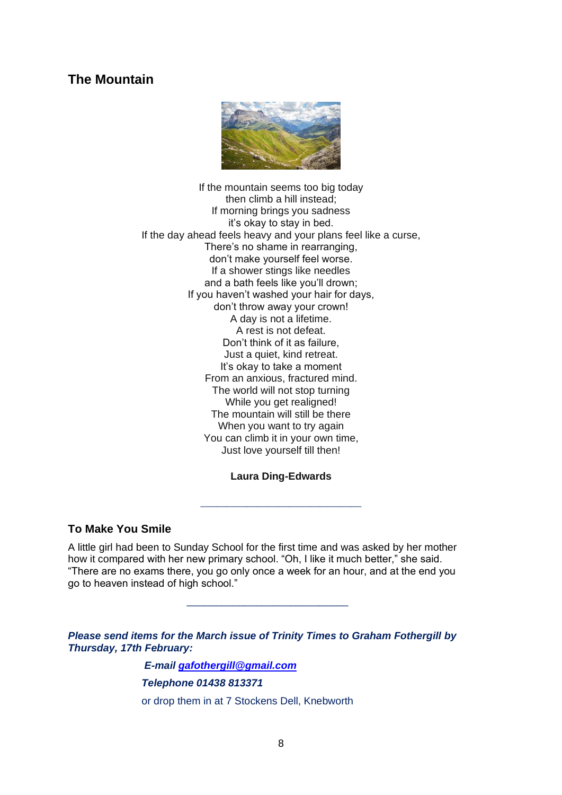## **The Mountain**



If the mountain seems too big today then climb a hill instead; If morning brings you sadness it's okay to stay in bed. If the day ahead feels heavy and your plans feel like a curse, There's no shame in rearranging, don't make yourself feel worse. If a shower stings like needles and a bath feels like you'll drown; If you haven't washed your hair for days, don't throw away your crown! A day is not a lifetime. A rest is not defeat. Don't think of it as failure, Just a quiet, kind retreat. It's okay to take a moment From an anxious, fractured mind. The world will not stop turning While you get realigned! The mountain will still be there When you want to try again You can climb it in your own time, Just love yourself till then!

#### **Laura Ding-Edwards**

\_\_\_\_\_\_\_\_\_\_\_\_\_\_\_\_\_\_\_\_\_\_\_\_\_\_\_\_\_\_\_

#### **To Make You Smile**

A little girl had been to Sunday School for the first time and was asked by her mother how it compared with her new primary school. "Oh, I like it much better," she said. "There are no exams there, you go only once a week for an hour, and at the end you go to heaven instead of high school."

\_\_\_\_\_\_\_\_\_\_\_\_\_\_\_\_\_\_\_\_\_\_\_\_\_\_\_\_

*Please send items for the March issue of Trinity Times to Graham Fothergill by Thursday, 17th February:*

> *E-mail [gafothergill@gmail.com](mailto:gafothergill@gmail.com) Telephone 01438 813371* or drop them in at 7 Stockens Dell, Knebworth